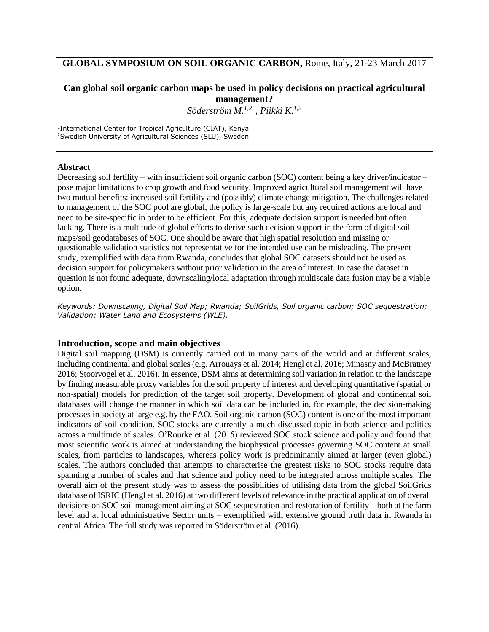# **GLOBAL SYMPOSIUM ON SOIL ORGANIC CARBON,** Rome, Italy, 21-23 March 2017

## **Can global soil organic carbon maps be used in policy decisions on practical agricultural management?**

*Söderström M. 1,2\* , Piikki K.1,2*

1 International Center for Tropical Agriculture (CIAT), Kenya <sup>2</sup>Swedish University of Agricultural Sciences (SLU), Sweden

#### **Abstract**

Decreasing soil fertility – with insufficient soil organic carbon (SOC) content being a key driver/indicator – pose major limitations to crop growth and food security. Improved agricultural soil management will have two mutual benefits: increased soil fertility and (possibly) climate change mitigation. The challenges related to management of the SOC pool are global, the policy is large-scale but any required actions are local and need to be site-specific in order to be efficient. For this, adequate decision support is needed but often lacking. There is a multitude of global efforts to derive such decision support in the form of digital soil maps/soil geodatabases of SOC. One should be aware that high spatial resolution and missing or questionable validation statistics not representative for the intended use can be misleading. The present study, exemplified with data from Rwanda, concludes that global SOC datasets should not be used as decision support for policymakers without prior validation in the area of interest. In case the dataset in question is not found adequate, downscaling/local adaptation through multiscale data fusion may be a viable option.

*Keywords: Downscaling, Digital Soil Map; Rwanda; SoilGrids, Soil organic carbon; SOC sequestration; Validation; Water Land and Ecosystems (WLE).*

#### **Introduction, scope and main objectives**

Digital soil mapping (DSM) is currently carried out in many parts of the world and at different scales, including continental and global scales (e.g. Arrouays et al. 2014; Hengl et al. 2016; Minasny and McBratney 2016; Stoorvogel et al. 2016). In essence, DSM aims at determining soil variation in relation to the landscape by finding measurable proxy variables for the soil property of interest and developing quantitative (spatial or non-spatial) models for prediction of the target soil property. Development of global and continental soil databases will change the manner in which soil data can be included in, for example, the decision-making processes in society at large e.g. by the FAO. Soil organic carbon (SOC) content is one of the most important indicators of soil condition. SOC stocks are currently a much discussed topic in both science and politics across a multitude of scales. O'Rourke et al. (2015) reviewed SOC stock science and policy and found that most scientific work is aimed at understanding the biophysical processes governing SOC content at small scales, from particles to landscapes, whereas policy work is predominantly aimed at larger (even global) scales. The authors concluded that attempts to characterise the greatest risks to SOC stocks require data spanning a number of scales and that science and policy need to be integrated across multiple scales. The overall aim of the present study was to assess the possibilities of utilising data from the global SoilGrids database of ISRIC (Hengl et al. 2016) at two different levels of relevance in the practical application of overall decisions on SOC soil management aiming at SOC sequestration and restoration of fertility – both at the farm level and at local administrative Sector units – exemplified with extensive ground truth data in Rwanda in central Africa. The full study was reported in Söderström et al. (2016).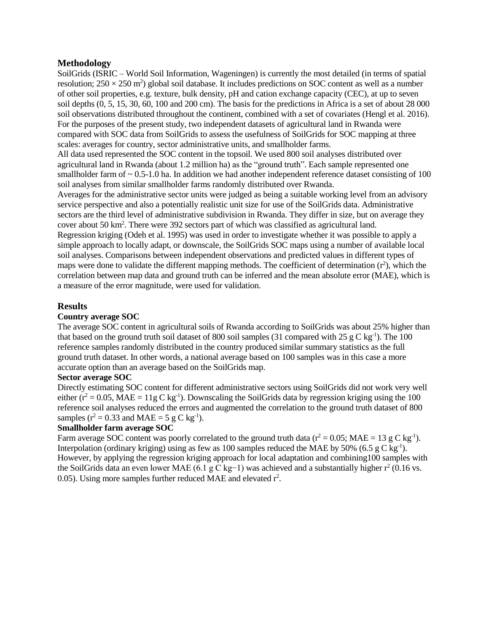## **Methodology**

SoilGrids (ISRIC – World Soil Information, Wageningen) is currently the most detailed (in terms of spatial resolution;  $250 \times 250$  m<sup>2</sup>) global soil database. It includes predictions on SOC content as well as a number of other soil properties, e.g. texture, bulk density, pH and cation exchange capacity (CEC), at up to seven soil depths (0, 5, 15, 30, 60, 100 and 200 cm). The basis for the predictions in Africa is a set of about 28 000 soil observations distributed throughout the continent, combined with a set of covariates (Hengl et al. 2016). For the purposes of the present study, two independent datasets of agricultural land in Rwanda were compared with SOC data from SoilGrids to assess the usefulness of SoilGrids for SOC mapping at three scales: averages for country, sector administrative units, and smallholder farms.

All data used represented the SOC content in the topsoil. We used 800 soil analyses distributed over agricultural land in Rwanda (about 1.2 million ha) as the "ground truth". Each sample represented one smallholder farm of  $\sim 0.5$ -1.0 ha. In addition we had another independent reference dataset consisting of 100 soil analyses from similar smallholder farms randomly distributed over Rwanda.

Averages for the administrative sector units were judged as being a suitable working level from an advisory service perspective and also a potentially realistic unit size for use of the SoilGrids data. Administrative sectors are the third level of administrative subdivision in Rwanda. They differ in size, but on average they cover about 50 km<sup>2</sup>. There were 392 sectors part of which was classified as agricultural land.

Regression kriging (Odeh et al. 1995) was used in order to investigate whether it was possible to apply a simple approach to locally adapt, or downscale, the SoilGrids SOC maps using a number of available local soil analyses. Comparisons between independent observations and predicted values in different types of maps were done to validate the different mapping methods. The coefficient of determination  $(r^2)$ , which the correlation between map data and ground truth can be inferred and the mean absolute error (MAE), which is a measure of the error magnitude, were used for validation.

## **Results**

## **Country average SOC**

The average SOC content in agricultural soils of Rwanda according to SoilGrids was about 25% higher than that based on the ground truth soil dataset of 800 soil samples (31 compared with  $25 \text{ g C kg}^{-1}$ ). The 100 reference samples randomly distributed in the country produced similar summary statistics as the full ground truth dataset. In other words, a national average based on 100 samples was in this case a more accurate option than an average based on the SoilGrids map.

## **Sector average SOC**

Directly estimating SOC content for different administrative sectors using SoilGrids did not work very well either ( $r^2 = 0.05$ , MAE = 11g C kg<sup>-1</sup>). Downscaling the SoilGrids data by regression kriging using the 100 reference soil analyses reduced the errors and augmented the correlation to the ground truth dataset of 800 samples ( $r^2 = 0.33$  and MAE = 5 g C kg<sup>-1</sup>).

#### **Smallholder farm average SOC**

Farm average SOC content was poorly correlated to the ground truth data ( $r^2 = 0.05$ ; MAE = 13 g C kg<sup>-1</sup>). Interpolation (ordinary kriging) using as few as 100 samples reduced the MAE by 50% (6.5 g C kg<sup>-1</sup>). However, by applying the regression kriging approach for local adaptation and combining100 samples with the SoilGrids data an even lower MAE (6.1 g C kg-1) was achieved and a substantially higher  $r^2$  (0.16 vs. 0.05). Using more samples further reduced MAE and elevated  $r^2$ .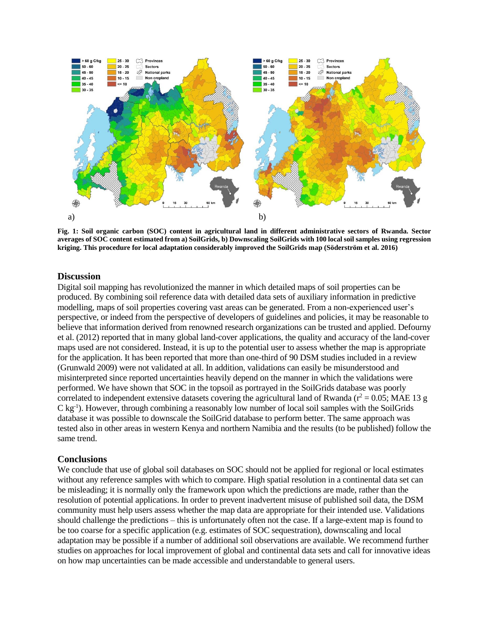

**Fig. 1: Soil organic carbon (SOC) content in agricultural land in different administrative sectors of Rwanda. Sector averages of SOC content estimated from a) SoilGrids, b) Downscaling SoilGrids with 100 local soil samples using regression kriging. This procedure for local adaptation considerably improved the SoilGrids map (Söderström et al. 2016)**

#### **Discussion**

Digital soil mapping has revolutionized the manner in which detailed maps of soil properties can be produced. By combining soil reference data with detailed data sets of auxiliary information in predictive modelling, maps of soil properties covering vast areas can be generated. From a non-experienced user's perspective, or indeed from the perspective of developers of guidelines and policies, it may be reasonable to believe that information derived from renowned research organizations can be trusted and applied. Defourny et al. (2012) reported that in many global land-cover applications, the quality and accuracy of the land-cover maps used are not considered. Instead, it is up to the potential user to assess whether the map is appropriate for the application. It has been reported that more than one-third of 90 DSM studies included in a review (Grunwald 2009) were not validated at all. In addition, validations can easily be misunderstood and misinterpreted since reported uncertainties heavily depend on the manner in which the validations were performed. We have shown that SOC in the topsoil as portrayed in the SoilGrids database was poorly correlated to independent extensive datasets covering the agricultural land of Rwanda ( $r^2 = 0.05$ ; MAE 13 g C kg-1 ). However, through combining a reasonably low number of local soil samples with the SoilGrids database it was possible to downscale the SoilGrid database to perform better. The same approach was tested also in other areas in western Kenya and northern Namibia and the results (to be published) follow the same trend.

#### **Conclusions**

We conclude that use of global soil databases on SOC should not be applied for regional or local estimates without any reference samples with which to compare. High spatial resolution in a continental data set can be misleading; it is normally only the framework upon which the predictions are made, rather than the resolution of potential applications. In order to prevent inadvertent misuse of published soil data, the DSM community must help users assess whether the map data are appropriate for their intended use. Validations should challenge the predictions – this is unfortunately often not the case. If a large-extent map is found to be too coarse for a specific application (e.g. estimates of SOC sequestration), downscaling and local adaptation may be possible if a number of additional soil observations are available. We recommend further studies on approaches for local improvement of global and continental data sets and call for innovative ideas on how map uncertainties can be made accessible and understandable to general users.